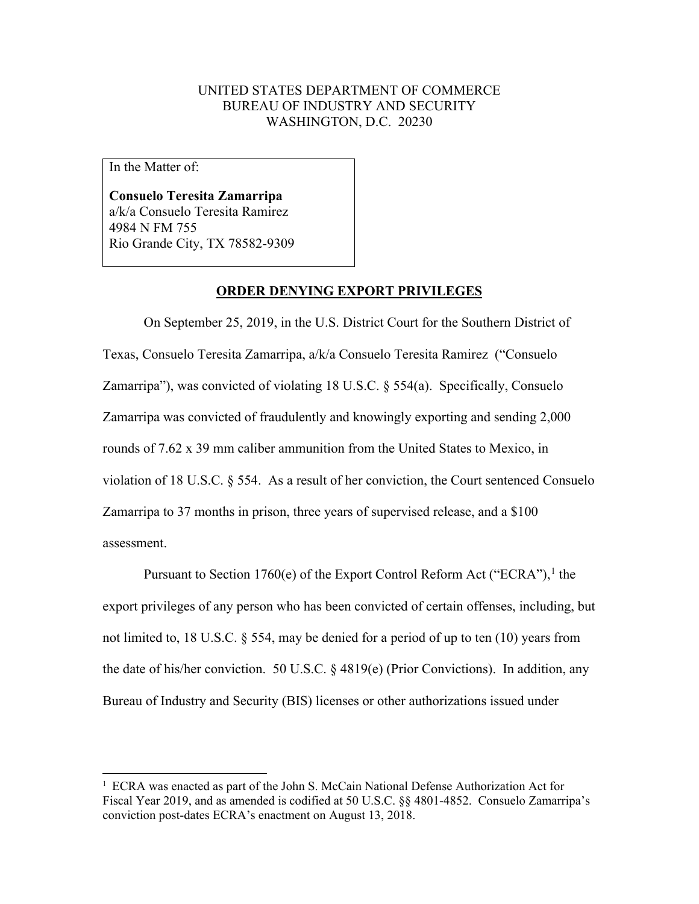## UNITED STATES DEPARTMENT OF COMMERCE BUREAU OF INDUSTRY AND SECURITY WASHINGTON, D.C. 20230

In the Matter of:

**Consuelo Teresita Zamarripa** a/k/a Consuelo Teresita Ramirez 4984 N FM 755 Rio Grande City, TX 78582-9309

## **ORDER DENYING EXPORT PRIVILEGES**

On September 25, 2019, in the U.S. District Court for the Southern District of Texas, Consuelo Teresita Zamarripa, a/k/a Consuelo Teresita Ramirez ("Consuelo Zamarripa"), was convicted of violating 18 U.S.C. § 554(a). Specifically, Consuelo Zamarripa was convicted of fraudulently and knowingly exporting and sending 2,000 rounds of 7.62 x 39 mm caliber ammunition from the United States to Mexico, in violation of 18 U.S.C. § 554. As a result of her conviction, the Court sentenced Consuelo Zamarripa to 37 months in prison, three years of supervised release, and a \$100 assessment.

Pursuant to Section [1](#page-0-0)760(e) of the Export Control Reform Act ("ECRA"), <sup>1</sup> the export privileges of any person who has been convicted of certain offenses, including, but not limited to, 18 U.S.C. § 554, may be denied for a period of up to ten (10) years from the date of his/her conviction. 50 U.S.C. § 4819(e) (Prior Convictions). In addition, any Bureau of Industry and Security (BIS) licenses or other authorizations issued under

<span id="page-0-0"></span><sup>&</sup>lt;sup>1</sup> ECRA was enacted as part of the John S. McCain National Defense Authorization Act for Fiscal Year 2019, and as amended is codified at 50 U.S.C. §§ 4801-4852. Consuelo Zamarripa's conviction post-dates ECRA's enactment on August 13, 2018.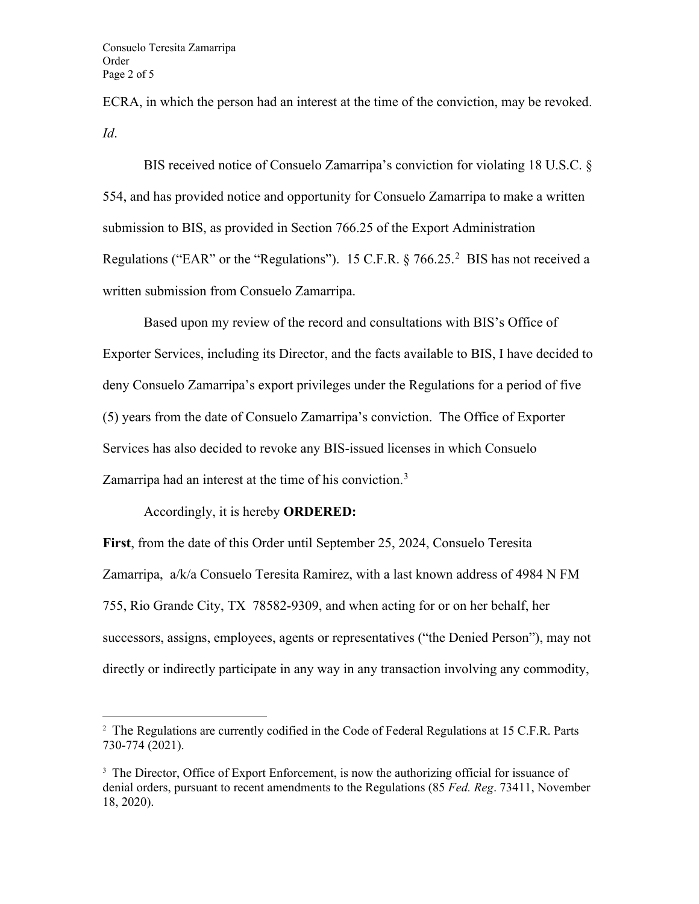ECRA, in which the person had an interest at the time of the conviction, may be revoked. *Id*.

BIS received notice of Consuelo Zamarripa's conviction for violating 18 U.S.C. § 554, and has provided notice and opportunity for Consuelo Zamarripa to make a written submission to BIS, as provided in Section 766.25 of the Export Administration Regulations ("EAR" or the "Regulations"). 15 C.F.R.  $\S 766.25$  $\S 766.25$  $\S 766.25$ .<sup>2</sup> BIS has not received a written submission from Consuelo Zamarripa.

Based upon my review of the record and consultations with BIS's Office of Exporter Services, including its Director, and the facts available to BIS, I have decided to deny Consuelo Zamarripa's export privileges under the Regulations for a period of five (5) years from the date of Consuelo Zamarripa's conviction. The Office of Exporter Services has also decided to revoke any BIS-issued licenses in which Consuelo Zamarripa had an interest at the time of his conviction.<sup>[3](#page-1-1)</sup>

## Accordingly, it is hereby **ORDERED:**

**First**, from the date of this Order until September 25, 2024, Consuelo Teresita Zamarripa, a/k/a Consuelo Teresita Ramirez, with a last known address of 4984 N FM 755, Rio Grande City, TX 78582-9309, and when acting for or on her behalf, her successors, assigns, employees, agents or representatives ("the Denied Person"), may not directly or indirectly participate in any way in any transaction involving any commodity,

<span id="page-1-0"></span><sup>&</sup>lt;sup>2</sup> The Regulations are currently codified in the Code of Federal Regulations at 15 C.F.R. Parts 730-774 (2021).

<span id="page-1-1"></span><sup>&</sup>lt;sup>3</sup> The Director, Office of Export Enforcement, is now the authorizing official for issuance of denial orders, pursuant to recent amendments to the Regulations (85 *Fed. Reg*. 73411, November 18, 2020).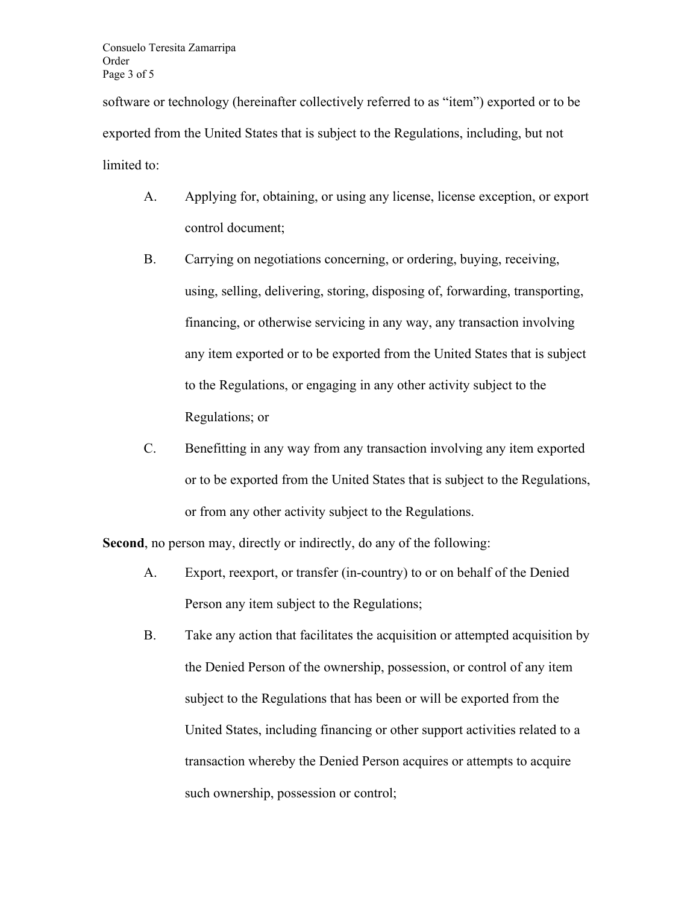software or technology (hereinafter collectively referred to as "item") exported or to be exported from the United States that is subject to the Regulations, including, but not limited to:

- A. Applying for, obtaining, or using any license, license exception, or export control document;
- B. Carrying on negotiations concerning, or ordering, buying, receiving, using, selling, delivering, storing, disposing of, forwarding, transporting, financing, or otherwise servicing in any way, any transaction involving any item exported or to be exported from the United States that is subject to the Regulations, or engaging in any other activity subject to the Regulations; or
- C. Benefitting in any way from any transaction involving any item exported or to be exported from the United States that is subject to the Regulations, or from any other activity subject to the Regulations.

**Second**, no person may, directly or indirectly, do any of the following:

- A. Export, reexport, or transfer (in-country) to or on behalf of the Denied Person any item subject to the Regulations;
- B. Take any action that facilitates the acquisition or attempted acquisition by the Denied Person of the ownership, possession, or control of any item subject to the Regulations that has been or will be exported from the United States, including financing or other support activities related to a transaction whereby the Denied Person acquires or attempts to acquire such ownership, possession or control;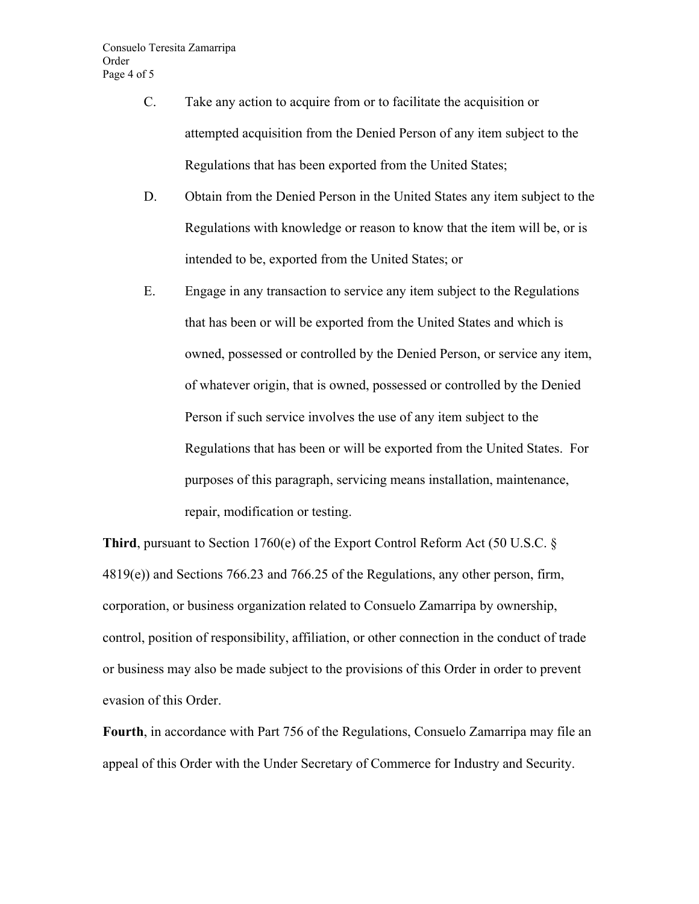- C. Take any action to acquire from or to facilitate the acquisition or attempted acquisition from the Denied Person of any item subject to the Regulations that has been exported from the United States;
- D. Obtain from the Denied Person in the United States any item subject to the Regulations with knowledge or reason to know that the item will be, or is intended to be, exported from the United States; or
- E. Engage in any transaction to service any item subject to the Regulations that has been or will be exported from the United States and which is owned, possessed or controlled by the Denied Person, or service any item, of whatever origin, that is owned, possessed or controlled by the Denied Person if such service involves the use of any item subject to the Regulations that has been or will be exported from the United States. For purposes of this paragraph, servicing means installation, maintenance, repair, modification or testing.

**Third**, pursuant to Section 1760(e) of the Export Control Reform Act (50 U.S.C. § 4819(e)) and Sections 766.23 and 766.25 of the Regulations, any other person, firm, corporation, or business organization related to Consuelo Zamarripa by ownership, control, position of responsibility, affiliation, or other connection in the conduct of trade or business may also be made subject to the provisions of this Order in order to prevent evasion of this Order.

**Fourth**, in accordance with Part 756 of the Regulations, Consuelo Zamarripa may file an appeal of this Order with the Under Secretary of Commerce for Industry and Security.